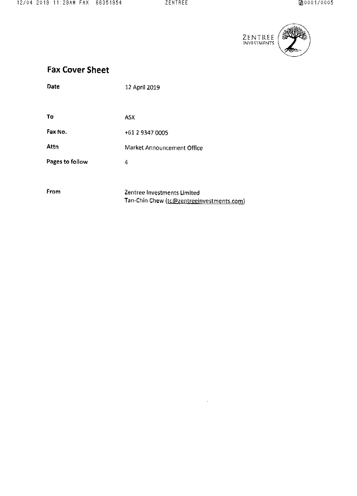$\sim 10^{-1}$ 



# Fax Cover Sheet

| Date            | 12 April 2019                             |
|-----------------|-------------------------------------------|
|                 |                                           |
| Τo              | ASX                                       |
| Fax No.         | +61 2 9347 0005                           |
| Attn            | Market Announcement Office                |
| Pages to follow | 4                                         |
|                 |                                           |
| From            | Zentree Investments Limited               |
|                 | Tan-Chin Chew (tc@zentreeinvestments.com) |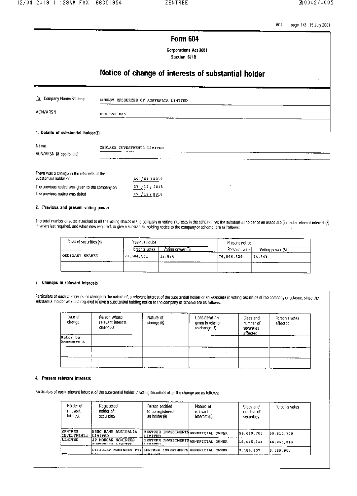604 page 1/2 15 July 2001

### Form 604

**Corporations Act 2001** Section 671B

# Notice of change of interests of substantial holder

| Lo Company Namo/Scheme                                                           | ENERGY RESOURCES OF AUSTRALIA LIMITED |  |
|----------------------------------------------------------------------------------|---------------------------------------|--|
| <b>ACN/ARSN</b>                                                                  | <b>008 550 865</b>                    |  |
| 1. Dotails of substantial holder(1)                                              |                                       |  |
| Name<br>ACN/ARSN (if applicable)                                                 | ZENTREE INVESTMENTS LIMITED           |  |
| There was a change in the interests of the<br>substantial holder on              | 10 / 04 / 2019                        |  |
| The previous notico was given to the company on<br>The previous notice was dated | 21 / 12 / 2018<br>19/12/2018          |  |

### 2. Previous and presont voting power

The total number of votes attached to all the voting shares in the company or voting Interests in the scheme that the substantial holder or an associate (2) had a relevant interest (3) In when last required, and when now required, to give a substantial holding notice to the company or scheme, are as follows:

| ----<br>Class of socurities (4) | Provious notice |                  | Present notice  |                         |
|---------------------------------|-----------------|------------------|-----------------|-------------------------|
|                                 | Person's votes  | Voting cower (5) | Person's votesh | Voting <u>power (5)</u> |
| ORDINARY SHARES<br>-----        | 71,584,561      | 13.83%           | 176,846,329     | 14.84%<br>---           |
|                                 |                 |                  |                 |                         |

#### 3. Changes in relevant interests

Particulars of each change in, or change in the nature of, a relevant interest of the substantial holder or an associate in voting securities of the company or scheme, since the<br>substantial holder was last required to give

| Date of<br>change      | Person whose<br>relevant interest<br>changed | Nature of<br>change (6) | Consideration<br>given in relation<br>to change (7) | Class and<br>number of<br>socurities<br>affected | Person's votes<br>affected            |
|------------------------|----------------------------------------------|-------------------------|-----------------------------------------------------|--------------------------------------------------|---------------------------------------|
| Refer to<br>Annexure A | .                                            |                         | ---                                                 |                                                  | <b>THE REAL PROPERTY</b>              |
|                        |                                              |                         |                                                     |                                                  | <b><i><u>PARK AND LONGING</u></i></b> |
|                        |                                              |                         |                                                     |                                                  |                                       |

#### 4. Present relevant interests

Particulars of each relevant interest of the substantial holder in voting securities after the change are as follows:

| Holder of<br>reluvant<br>Interest     | Registered<br>holder of<br>securitios                                    | ____________<br>Person entitled<br>to be registered.<br>as holder (8)                                                                                                                                                            | Naturo of<br>relevant<br>Interast (6) | Class and<br>number of<br>securities | Person's votes |
|---------------------------------------|--------------------------------------------------------------------------|----------------------------------------------------------------------------------------------------------------------------------------------------------------------------------------------------------------------------------|---------------------------------------|--------------------------------------|----------------|
| <b>ZENTREE</b><br><b>LINVESTMENTS</b> | <b>MISBC BANK AUSTRALIA</b><br>ILIMITRO                                  | EENTREE INVESTMENTS BENEFICIAL OWNER<br>LIMITED                                                                                                                                                                                  |                                       | 59.610.709                           | 59,610,709     |
| LIMYTED.                              | UP MORGAN NOMINEES<br>AUGUREALIA LIMITED                                 | <b>ZENTREE INVESTMENTS BENEFICIAL OWNER</b><br><b>FILITINIA</b>                                                                                                                                                                  |                                       | 115.045.013                          | 15,045,013     |
|                                       | CITICORP NOMINEES PTY ZENTREE INVESTMENTS BENEFICIAL OWNER<br><b>TTD</b> | and in the second the second second and the second and the second in the second in the second in the second in<br>Second in the second second in the second in the second in the second in the second in the second in the secon |                                       | 2,189,807                            | 2,109,007      |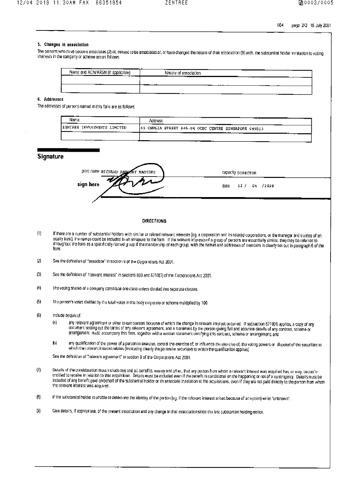#### 5. Changes in association

The persons who have become associates (2) of, ceased to be associates of, or have changed the naturo of their association (9) with the substantial holder in relation to voting Interests in the company or scheme are as follows:

| Name and ACN/ARSN (II)<br>m poolicable)<br>$\blacksquare$ | . .<br>--<br>Nature of association   |
|-----------------------------------------------------------|--------------------------------------|
| ---<br>--                                                 | .<br>                                |
| .<br>.                                                    | ______<br>$-$<br>$- -$<br>---<br>___ |

#### 6. Addresses

The addresses of persons named in this form are as follows:

| Name                              | <br>┳<br>Address                                      |  |
|-----------------------------------|-------------------------------------------------------|--|
| ZENTREE INVESTMENTS LIMITED<br>-- | (65 CHULIA STREET #45-04 OCBC CENTRE SINGAPORR 049513 |  |
|                                   | ---<br>णा                                             |  |

#### **Signature**

| PHILDRS RICHARD ANTIONY MACIDES | сарасіі у Білесток    |  |
|---------------------------------|-----------------------|--|
| $\sim$ $\sim$<br>sign here      | 12 / 04 /2019<br>date |  |
|                                 |                       |  |

#### **DIRECTIONS**

- If there are a number of substantial holders with similar or related relevant interests (og. a corporation and its related corporations, or the manager and trustoo of an  $(1)$ equity trust), the ramos could be included in an annexure to the form. If the relevant interests of a group of persons are essentially similar, they may be referred to throughout the form as a specifically named g oup if the membership of each group, with the names and addresses of members is clearly set out in paragraph 6 of the form.
- $(2)$ See the dofinition of "associate" in soction 9 of the Corporations Act 2001.
- $(3)$ See the definition of "relevant interest" in sections 608 and 671B(7) of the Corporations Act 2001.
- $\langle 4 \rangle$ The voting shares of a company constitute one class unless divided into separate classes.
- $(5)$ The person's votes divided by the total votes in the body corporate or schome multiplied by 100.
- $<sub>6</sub>$ </sub> Include details of:
	- any relevant agreemunt or other circumstances because of which the change in relevant interest occurred. If subsection 6718(4) applies, a copy of any (a) document sotting out the terms of any relevant agreement, and a statement by the porson giving full and accurate details of any contract, scheme or arrangement, must accompany this form, together with a written statement certifying this contract, scheme or arrangement; and
	- 仍 any qualification of the power of a person to exercise, control the exercise of, or influence the exercise of, the voting powers or idisposal of the securities to which the rolovant interest relates (indicating clearly the particular socurities to which the qualification applies).

See the definition of "relevant agreement" in section 9 of the Corporations Act 2001.

- $(7)$ Details of the consideration must include any and all benefits, money and other, that any person from whom a relevant interest was acquired has, or may, becomie entitled to receive in relation to that acquisition. Details must be included even if the benefit is conditional on the happening or not of a contingency. Details must be included of any benefit paid on behalf of the substantial holder or its associate in relation to the acquisitions, even if they are not paid directly to the person from whom the relevant interest was acquired.
- $(8)$ If the substantial holder is unable to determine the identity of the person (eg. if the relevant interest arises because of an option) write "unknown".
- $(9)$ Give details, if appropriate, of the present association and any change in that association since the last substantial holding notice.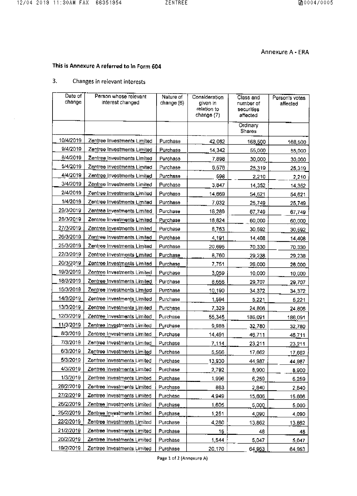$\mathcal{A}^{\mathcal{A}}$ 

## Annexure A - ERA

# This is Annexure A referred to In Form 604

#### $3.$ Changes in relevant interests

| Date of<br>change | Person whose relevant<br>interest changed | Nature of<br>change (6) | Consideration<br>given in<br>relation to<br>change (7) | Class and<br>number of<br>securities<br>affected | Person's votes<br>affected |
|-------------------|-------------------------------------------|-------------------------|--------------------------------------------------------|--------------------------------------------------|----------------------------|
|                   |                                           |                         |                                                        | Ordinary<br>Shares                               |                            |
| 10/4/2019         | Zentree Investments Limited               | Purchase                | 42,062                                                 | 168,500                                          | 168,500                    |
| 9/4/2019          | Zentree Investments Limited               | Purchase                | 14,342                                                 | 55,000                                           | 55,000                     |
| 8/4/2019          | Zentree Investments Limited               | Purchase                | 7,898                                                  | 30,000                                           | 30,000                     |
| 5/4/2019          | Zentree Investments Limited               | Purchase                | 6,576                                                  | 25.319                                           | 25,319                     |
| 4/4/2019          | Zentree Investments Limited               | Purchase                | 598                                                    | 2,210                                            | 2,210                      |
| 3/4/2019          | Zentree Investments Limited               | Purchase                | 3,847                                                  | 14 3 5 2                                         | 14,352                     |
| 2/4/2019          | Zentree Investments Limited               | Purchase                | 14,669                                                 | 54,621                                           | 54,621                     |
| 1/4/2019          | Zentree Investments Limited               | Purchase                | 7.032                                                  | 25,749                                           | 25,749                     |
| 29/3/2019         | Zentree Investments Limited               | Purchase                | 18,289                                                 | 67,749                                           | 67,749                     |
| 28/3/2019         | Zentree Investments Limited               | Purchase                | 16,824                                                 | 60,000                                           | 60,000                     |
| 27/3/2019         | Zentree Investments Limited               | Purchase                | 8,763                                                  | 30,592                                           | 30,592                     |
| 26/3/2019         | Zentree Investments Limited               | Purchase                | 4 19 1                                                 | 14,408                                           | 14,408                     |
| 25/3/2019         | Zentree Investments Limited               | Purchase                | 20,695                                                 | 70 330                                           | 70,330                     |
| 22/3/2019         | Zentree Investments Limited               | Purchase                | 8.760                                                  | 29,238                                           | 29,238                     |
| 20/3/2019         | Zentree Investments Limited               | Purchase                | 7.751                                                  | 26,000                                           | 26,000                     |
| 19/3/2019         | Zentree Investments Limited               | Purchase                | 3,059                                                  | 10,000                                           | 10,000                     |
| 18/3/2019         | Zentree Investments Limited               | Purchase                | 8.656                                                  | 29,707                                           | 29,707                     |
| 15/3/2019         | Zentree Investments Limited               | Purchase                | 10,190                                                 | 34,372                                           | 34,372                     |
| 14/3/2019         | Zentree Investments Limited               | Purchase                | 1.594                                                  | 5,221                                            | 5,221                      |
| 13/3/2019         | Zentree Investments Limited               | Purchase                | 7,329                                                  | 24,806                                           | 24,806                     |
| 12/3/2019         | Zentree Investments Limited               | Purchase                | 55,345                                                 | 186,091                                          | 186,091                    |
| 11/3/2019         | Zentree Investments Limited               | Purchase                | 9.988                                                  | 32,780                                           | 32,780                     |
| 8/3/2019          | Zentree Investments Limited               | Purchase                | 14,491                                                 | 46,711                                           | 46,711                     |
| 7/3/2019          | Zentree Investments Limited               | Purchase                | 7.114                                                  | 23,211                                           | 23,211                     |
| 6/3/2019          | Zentree Investments Limited               | Purchase                | 5,566                                                  | 17,662                                           | 17,662                     |
| 5/3/2019          | Zentree Investments Limited               | Purchase                | 13,930                                                 | 44,987                                           | 44,987                     |
| 4/3/2019          | Zentree Investments Limited               | Furchase                | 2,792                                                  | 8,900                                            | 8,900                      |
| 1/3/2019          | Zentree Investments Limited               | Purchase                | 1.996                                                  | 6,259                                            | 6,259                      |
| 28/2/2019         | Zentree Investments Limited               | Purchaso                | 883                                                    | 2,840                                            | 2,840                      |
| 27/2/2019         | Zentree Investments Limited               | <b>Purchase</b>         | 4949                                                   | 15,606                                           | 15,606                     |
| 26/2/2019         | Zentree Investments Limited               | <b>Purchase</b>         | 1,605                                                  | 5,000                                            | 5.000                      |
| 25/2/2019         | Zentree Investments Limited               | Purchase                | 1251                                                   | 4,090                                            | 4,090                      |
| 22/2/2019         | Zentree Investments Limited               | Purchase                | 4.280                                                  | 13,862                                           | 13,862                     |
| 21/2/2019         | Zentree Investments Limited               | Purchase                | 15                                                     | 48                                               | 48                         |
| 20/2/2019         | Zentree Investments Limited               | Purchase                | 1.544                                                  | 5,047                                            | 5.047                      |
| 19/2/2019         | Zentree Investments Limited               | Purchase                | 20,170                                                 | 64,953                                           | 64 953                     |

Page 1 of 2 (Annexure A)